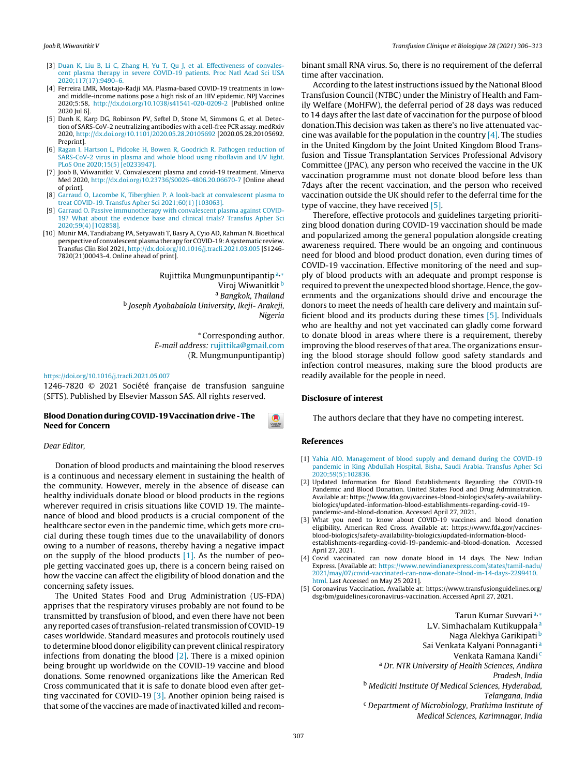- [3] [Duan](http://refhub.elsevier.com/S1246-7820(21)00079-3/sbref0065) [K,](http://refhub.elsevier.com/S1246-7820(21)00079-3/sbref0065) [Liu](http://refhub.elsevier.com/S1246-7820(21)00079-3/sbref0065) [B,](http://refhub.elsevier.com/S1246-7820(21)00079-3/sbref0065) [Li](http://refhub.elsevier.com/S1246-7820(21)00079-3/sbref0065) [C,](http://refhub.elsevier.com/S1246-7820(21)00079-3/sbref0065) [Zhang](http://refhub.elsevier.com/S1246-7820(21)00079-3/sbref0065) [H,](http://refhub.elsevier.com/S1246-7820(21)00079-3/sbref0065) [Yu](http://refhub.elsevier.com/S1246-7820(21)00079-3/sbref0065) [T,](http://refhub.elsevier.com/S1246-7820(21)00079-3/sbref0065) [Qu](http://refhub.elsevier.com/S1246-7820(21)00079-3/sbref0065) [J,](http://refhub.elsevier.com/S1246-7820(21)00079-3/sbref0065) [et](http://refhub.elsevier.com/S1246-7820(21)00079-3/sbref0065) [al.](http://refhub.elsevier.com/S1246-7820(21)00079-3/sbref0065) [Effectiveness](http://refhub.elsevier.com/S1246-7820(21)00079-3/sbref0065) [of](http://refhub.elsevier.com/S1246-7820(21)00079-3/sbref0065) [convales](http://refhub.elsevier.com/S1246-7820(21)00079-3/sbref0065)[cent](http://refhub.elsevier.com/S1246-7820(21)00079-3/sbref0065) [plasma](http://refhub.elsevier.com/S1246-7820(21)00079-3/sbref0065) [therapy](http://refhub.elsevier.com/S1246-7820(21)00079-3/sbref0065) [in](http://refhub.elsevier.com/S1246-7820(21)00079-3/sbref0065) [severe](http://refhub.elsevier.com/S1246-7820(21)00079-3/sbref0065) [COVID-19](http://refhub.elsevier.com/S1246-7820(21)00079-3/sbref0065) [patients.](http://refhub.elsevier.com/S1246-7820(21)00079-3/sbref0065) [Proc](http://refhub.elsevier.com/S1246-7820(21)00079-3/sbref0065) [Natl](http://refhub.elsevier.com/S1246-7820(21)00079-3/sbref0065) [Acad](http://refhub.elsevier.com/S1246-7820(21)00079-3/sbref0065) [Sci](http://refhub.elsevier.com/S1246-7820(21)00079-3/sbref0065) [USA](http://refhub.elsevier.com/S1246-7820(21)00079-3/sbref0065) [2020;117\(17\):9490](http://refhub.elsevier.com/S1246-7820(21)00079-3/sbref0065)–[6.](http://refhub.elsevier.com/S1246-7820(21)00079-3/sbref0065)
- [4] Ferreira LMR, Mostajo-Radji MA. Plasma-based COVID-19 treatments in lowand middle-income nations pose a high risk of an HIV epidemic. NPJ Vaccines 2020;5:58, [http://dx.doi.org/10.1038/s41541-020-0209-2](dx.doi.org/10.1038/s41541-020-0209-2) [Published online 2020 Jul 6].
- [5] Danh K, Karp DG, Robinson PV, Seftel D, Stone M, [Simmons](http://www.sciencedirect.com/science/journal/12467820) G, et al. Detection of SARS-CoV-2 neutralizing antibodies with a cell-free PCR assay. medRxiv 2020, [http://dx.doi.org/10.1101/2020.05.28.20105692](dx.doi.org/10.1101/2020.05.28.20105692) [2020.05.28.20105692. Preprint].
- [6] [Ragan](http://refhub.elsevier.com/S1246-7820(21)00079-3/sbref0080) [I,](http://refhub.elsevier.com/S1246-7820(21)00079-3/sbref0080) [Hartson](http://refhub.elsevier.com/S1246-7820(21)00079-3/sbref0080) [L,](http://refhub.elsevier.com/S1246-7820(21)00079-3/sbref0080) [Pidcoke](http://refhub.elsevier.com/S1246-7820(21)00079-3/sbref0080) [H,](http://refhub.elsevier.com/S1246-7820(21)00079-3/sbref0080) [Bowen](http://refhub.elsevier.com/S1246-7820(21)00079-3/sbref0080) [R,](http://refhub.elsevier.com/S1246-7820(21)00079-3/sbref0080) [Goodrich](http://refhub.elsevier.com/S1246-7820(21)00079-3/sbref0080) [R.](http://refhub.elsevier.com/S1246-7820(21)00079-3/sbref0080) [Pathogen](http://refhub.elsevier.com/S1246-7820(21)00079-3/sbref0080) [reduction](http://refhub.elsevier.com/S1246-7820(21)00079-3/sbref0080) [of](http://refhub.elsevier.com/S1246-7820(21)00079-3/sbref0080) [SARS-CoV-2](http://refhub.elsevier.com/S1246-7820(21)00079-3/sbref0080) [virus](http://refhub.elsevier.com/S1246-7820(21)00079-3/sbref0080) [in](http://refhub.elsevier.com/S1246-7820(21)00079-3/sbref0080) [plasma](http://refhub.elsevier.com/S1246-7820(21)00079-3/sbref0080) [and](http://refhub.elsevier.com/S1246-7820(21)00079-3/sbref0080) [whole](http://refhub.elsevier.com/S1246-7820(21)00079-3/sbref0080) [blood](http://refhub.elsevier.com/S1246-7820(21)00079-3/sbref0080) [using](http://refhub.elsevier.com/S1246-7820(21)00079-3/sbref0080) [riboflavin](http://refhub.elsevier.com/S1246-7820(21)00079-3/sbref0080) [and](http://refhub.elsevier.com/S1246-7820(21)00079-3/sbref0080) [UV](http://refhub.elsevier.com/S1246-7820(21)00079-3/sbref0080) [light.](http://refhub.elsevier.com/S1246-7820(21)00079-3/sbref0080) [PLoS](http://refhub.elsevier.com/S1246-7820(21)00079-3/sbref0080) [One](http://refhub.elsevier.com/S1246-7820(21)00079-3/sbref0080) [2020;15\(5\)](http://refhub.elsevier.com/S1246-7820(21)00079-3/sbref0080) [\[e0233947\].](http://refhub.elsevier.com/S1246-7820(21)00079-3/sbref0080)
- [7] Joob B, Wiwanitkit V. Convalescent plasma and covid-19 treatment. Minerva Med 2020, [http://dx.doi.org/10.23736/S0026-4806.20.06670-7](dx.doi.org/10.23736/S0026-4806.20.06670-7) [Online [ahead](http://crossmark.crossref.org/dialog/?doi=10.1016/j.tracli.2021.05.008&domain=pdf) of print].
- [8] [Garraud](http://refhub.elsevier.com/S1246-7820(21)00079-3/sbref0090) [O,](http://refhub.elsevier.com/S1246-7820(21)00079-3/sbref0090) [Lacombe](http://refhub.elsevier.com/S1246-7820(21)00079-3/sbref0090) [K,](http://refhub.elsevier.com/S1246-7820(21)00079-3/sbref0090) [Tiberghien](http://refhub.elsevier.com/S1246-7820(21)00079-3/sbref0090) [P.](http://refhub.elsevier.com/S1246-7820(21)00079-3/sbref0090) [A](http://refhub.elsevier.com/S1246-7820(21)00079-3/sbref0090) [look-back](http://refhub.elsevier.com/S1246-7820(21)00079-3/sbref0090) [at](http://refhub.elsevier.com/S1246-7820(21)00079-3/sbref0090) [convalescent](http://refhub.elsevier.com/S1246-7820(21)00079-3/sbref0090) [plasma](http://refhub.elsevier.com/S1246-7820(21)00079-3/sbref0090) [to](http://refhub.elsevier.com/S1246-7820(21)00079-3/sbref0090) [treat](http://refhub.elsevier.com/S1246-7820(21)00079-3/sbref0090) [COVID-19.](http://refhub.elsevier.com/S1246-7820(21)00079-3/sbref0090) [Transfus](http://refhub.elsevier.com/S1246-7820(21)00079-3/sbref0090) [Apher](http://refhub.elsevier.com/S1246-7820(21)00079-3/sbref0090) [Sci](http://refhub.elsevier.com/S1246-7820(21)00079-3/sbref0090) [2021;60\(1\)](http://refhub.elsevier.com/S1246-7820(21)00079-3/sbref0090) [\[103063\].](http://refhub.elsevier.com/S1246-7820(21)00079-3/sbref0090)
- [9] [Garraud](http://refhub.elsevier.com/S1246-7820(21)00079-3/sbref0095) [O.](http://refhub.elsevier.com/S1246-7820(21)00079-3/sbref0095) [Passive](http://refhub.elsevier.com/S1246-7820(21)00079-3/sbref0095) [immunotherapy](http://refhub.elsevier.com/S1246-7820(21)00079-3/sbref0095) [with](http://refhub.elsevier.com/S1246-7820(21)00079-3/sbref0095) [convalescent](http://refhub.elsevier.com/S1246-7820(21)00079-3/sbref0095) [plasma](http://refhub.elsevier.com/S1246-7820(21)00079-3/sbref0095) [against](http://refhub.elsevier.com/S1246-7820(21)00079-3/sbref0095) [COVID-](http://refhub.elsevier.com/S1246-7820(21)00079-3/sbref0095)[19?](http://refhub.elsevier.com/S1246-7820(21)00079-3/sbref0095) [What](http://refhub.elsevier.com/S1246-7820(21)00079-3/sbref0095) [about](http://refhub.elsevier.com/S1246-7820(21)00079-3/sbref0095) [the](http://refhub.elsevier.com/S1246-7820(21)00079-3/sbref0095) [evidence](http://refhub.elsevier.com/S1246-7820(21)00079-3/sbref0095) [base](http://refhub.elsevier.com/S1246-7820(21)00079-3/sbref0095) [and](http://refhub.elsevier.com/S1246-7820(21)00079-3/sbref0095) [clinical](http://refhub.elsevier.com/S1246-7820(21)00079-3/sbref0095) [trials?](http://refhub.elsevier.com/S1246-7820(21)00079-3/sbref0095) [Transfus](http://refhub.elsevier.com/S1246-7820(21)00079-3/sbref0095) [Apher](http://refhub.elsevier.com/S1246-7820(21)00079-3/sbref0095) [Sci](http://refhub.elsevier.com/S1246-7820(21)00079-3/sbref0095) [2020;59\(4\)](http://refhub.elsevier.com/S1246-7820(21)00079-3/sbref0095) [\[102858\].](http://refhub.elsevier.com/S1246-7820(21)00079-3/sbref0095)
- [10] Munir MA, Tandiabang PA, Setyawati T, Basry A, Cyio AD, Rahman N. Bioethical perspective of convalescent plasma therapy for COVID-19:Asystematic review. Transfus Clin Biol 2021, [http://dx.doi.org/10.1016/j.tracli.2021.03.005](dx.doi.org/10.1016/j.tracli.2021.03.005) [S1246- 7820(21)00043-4. Online ahead of print].

Rujittika Mungmunpuntipantipa,<sup>∗</sup> Viroj Wiwanitkit b <sup>a</sup> Bangkok, Thailand <sup>b</sup> Joseph Ayobabalola University, Ikeji- Arakeji, Nigeria

> ∗ Corresponding author. E-mail address: [rujittika@gmail.com](mailto:rujittika@gmail.com) (R. Mungmunpuntipantip)

#### <https://doi.org/10.1016/j.tracli.2021.05.007>

1246-7820 © 2021 Société française de transfusion sanguine (SFTS). Published by Elsevier Masson SAS. All rights reserved.

# **Blood DonationduringCOVID-19 Vaccinationdrive - The Need for Concern**

### Dear [Editor,](dx.doi.org/10.1016/j.tracli.2021.05.003)

[Donation](http://refhub.elsevier.com/S1246-7820(21)00079-3/sbref0020) [of](http://refhub.elsevier.com/S1246-7820(21)00079-3/sbref0020) [blood](http://refhub.elsevier.com/S1246-7820(21)00079-3/sbref0020) p[roducts](http://refhub.elsevier.com/S1246-7820(21)00079-3/sbref0020) an[d](http://refhub.elsevier.com/S1246-7820(21)00079-3/sbref0020) [maintaining](http://refhub.elsevier.com/S1246-7820(21)00079-3/sbref0020) [the](http://refhub.elsevier.com/S1246-7820(21)00079-3/sbref0020) [blo](http://refhub.elsevier.com/S1246-7820(21)00079-3/sbref0020)od [reserves](http://refhub.elsevier.com/S1246-7820(21)00079-3/sbref0020) is a [continuous](http://refhub.elsevier.com/S1246-7820(21)00079-3/sbref0020) [and](http://refhub.elsevier.com/S1246-7820(21)00079-3/sbref0020) ne[cessary](http://refhub.elsevier.com/S1246-7820(21)00079-3/sbref0020) [element](http://refhub.elsevier.com/S1246-7820(21)00079-3/sbref0020) in [sustaining](http://refhub.elsevier.com/S1246-7820(21)00079-3/sbref0020) [the](http://refhub.elsevier.com/S1246-7820(21)00079-3/sbref0020) h[ealth](http://refhub.elsevier.com/S1246-7820(21)00079-3/sbref0020) of the [community.](http://refhub.elsevier.com/S1246-7820(21)00079-3/sbref0020) [Howe](http://refhub.elsevier.com/S1246-7820(21)00079-3/sbref0020)ver, [merely](http://refhub.elsevier.com/S1246-7820(21)00079-3/sbref0020) [in](http://refhub.elsevier.com/S1246-7820(21)00079-3/sbref0020) the [absence](http://refhub.elsevier.com/S1246-7820(21)00079-3/sbref0020) of disease can healthy individuals donate blood or blood products in the regions wherever required in crisis situations like COVID 19. The maintenance of blood and blood products is a crucial component of the healthcare sector even in the pandemic time, which gets more crucial during these tough times due to the unavailability of donors owing to a number of reasons, thereby having a negative impact on the supply of the blood products  $[1]$ . As the number of people getting vaccinated goes up, there is a [concern](mailto:beuyjoob@hotmail.com) being raised on how the vaccine can affect the eligibility of blood donation and the [concerning](https://doi.org/10.1016/j.tracli.2021.05.008) safety issues.

The United States Food and Drug Administration (US-FDA) apprises that the respiratory viruses probably are not found to be transmitted by transfusion of blood, and even there have not been any reported cases of transfusion-related transmission of COVI[D-19](http://crossmark.crossref.org/dialog/?doi=10.1016/j.tracli.2021.05.007&domain=pdf) cases worldwide. Standard measures and protocols routinely used to determine blood donor eligibility can prevent clinical respiratory infections from donating the blood  $[2]$ . There is a mixed opinion being brought up worldwide on the COVID-19 vaccine and blood donations. Some renowned organizations like the American Red Cross communicated that it is safe to donate blood even after getting vaccinated for COVID-19 [3]. Another opinion being raised is that some of the vaccines are made of inactivated killed and recombinant small RNA virus. So, there is no requirement of the deferral time after vaccination.

According to the latest instructions issued by the National Blood Transfusion Council (NTBC) under the Ministry of Health and Family Welfare (MoHFW), the deferral period of 28 days was reduced to 14 days after the last date of vaccination for the purpose of blood donation.This decision was taken as there's no live attenuated vaccine was available for the population in the country  $[4]$ . The studies in the United Kingdom by the Joint United Kingdom Blood Transfusion and Tissue Transplantation Services Professional Advisory Committee (JPAC), any person who received the vaccine in the UK vaccination programme must not donate blood before less than 7days after the recent vaccination, and the person who received vaccination outside the UK should refer to the deferral time for the type of vaccine, they have received [5].

Therefore, effective protocols and guidelines targeting prioritizing blood donation during COVID-19 vaccination should be made and popularized among the general population alongside creating awareness required. There would be an ongoing and continuous need for blood and blood product donation, even during times of COVID-19 vaccination. Effective monitoring of the need and supply of blood products with an adequate and prompt response is required to prevent the unexpected blood shortage. Hence, the governments and the organizations should drive and encourage the donors to meet the needs of health care delivery and maintain sufficient blood and its products during these times [5]. Individuals who are healthy and not yet vaccinated can gladly come forward to donate blood in areas where there is a requirement, thereby improving the blood reserves of that area. The organizations ensuring the blood storage should follow good safety standards and infection control measures, making sure the blood products are readily available for the people in need.

### **Disclosure of interest**

The authors declare that they have no competing interest.

## **References**

- [1] [Yahia](http://refhub.elsevier.com/S1246-7820(21)00079-3/sbref0030) [AIO.](http://refhub.elsevier.com/S1246-7820(21)00079-3/sbref0030) [Management](http://refhub.elsevier.com/S1246-7820(21)00079-3/sbref0030) [of](http://refhub.elsevier.com/S1246-7820(21)00079-3/sbref0030) [blood](http://refhub.elsevier.com/S1246-7820(21)00079-3/sbref0030) [supply](http://refhub.elsevier.com/S1246-7820(21)00079-3/sbref0030) [and](http://refhub.elsevier.com/S1246-7820(21)00079-3/sbref0030) [demand](http://refhub.elsevier.com/S1246-7820(21)00079-3/sbref0030) [during](http://refhub.elsevier.com/S1246-7820(21)00079-3/sbref0030) [the](http://refhub.elsevier.com/S1246-7820(21)00079-3/sbref0030) [COVID-19](http://refhub.elsevier.com/S1246-7820(21)00079-3/sbref0030) [pandemic](http://refhub.elsevier.com/S1246-7820(21)00079-3/sbref0030) [in](http://refhub.elsevier.com/S1246-7820(21)00079-3/sbref0030) [King](http://refhub.elsevier.com/S1246-7820(21)00079-3/sbref0030) [Abdullah](http://refhub.elsevier.com/S1246-7820(21)00079-3/sbref0030) [Hospital,](http://refhub.elsevier.com/S1246-7820(21)00079-3/sbref0030) [Bisha,](http://refhub.elsevier.com/S1246-7820(21)00079-3/sbref0030) [Saudi](http://refhub.elsevier.com/S1246-7820(21)00079-3/sbref0030) [Arabia.](http://refhub.elsevier.com/S1246-7820(21)00079-3/sbref0030) [Transfus](http://refhub.elsevier.com/S1246-7820(21)00079-3/sbref0030) [Apher](http://refhub.elsevier.com/S1246-7820(21)00079-3/sbref0030) [Sci](http://refhub.elsevier.com/S1246-7820(21)00079-3/sbref0030) [2020;59\(5\):102836.](http://refhub.elsevier.com/S1246-7820(21)00079-3/sbref0030)
- [2] Updated Information for Blood Establishments Regarding the COVID-19 Pandemic and Blood Donation. United States Food and Drug Administration. Available at: https://www.fda.gov/vaccines-blood-biologics/safety-availabilitybiologics/updated-information-blood-establishments-regarding-covid-19 pandemic-and-blood-donation. Accessed April 27, 2021.
- [3] What you need to know about COVID-19 vaccines and blood donation eligibility. American Red Cross. Available at: https://www.fda.gov/vaccinesblood-biologics/safety-availability-biologics/updated-information-bloodestablishments-regarding-covid-19-pandemic-and-blood-donation. Accessed April 27, 2021.
- [4] Covid vaccinated can now donate blood in 14 days. The New Indian Express. [Available at: [https://www.newindianexpress.com/states/tamil-nadu/](https://www.newindianexpress.com/states/tamil-nadu/2021/may/07/covid-vaccinated-can-now-donate-blood-in-14-days-2299410.html) [2021/may/07/covid-vaccinated-can-now-donate-blood-in-14-days-2299410.](https://www.newindianexpress.com/states/tamil-nadu/2021/may/07/covid-vaccinated-can-now-donate-blood-in-14-days-2299410.html) [html.](https://www.newindianexpress.com/states/tamil-nadu/2021/may/07/covid-vaccinated-can-now-donate-blood-in-14-days-2299410.html) Last Accessed on May 25 2021].
- [5] Coronavirus Vaccination. Available at: https://www.transfusionguidelines.org/ dsg/bm/guidelines/coronavirus-vaccination. Accessed April 27, 2021.

Tarun Kumar Suvvari<sup>a,</sup>\* L.V. Simhachalam Kutikuppala<sup>a</sup> Naga Alekhya Garikipati b [Sa](http://refhub.elsevier.com/S1246-7820(21)00079-3/sbref0055)i [Venkata](http://refhub.elsevier.com/S1246-7820(21)00079-3/sbref0055) [Kalyani](http://refhub.elsevier.com/S1246-7820(21)00079-3/sbref0055) [Ponnaganti](http://refhub.elsevier.com/S1246-7820(21)00079-3/sbref0055) <sup>a</sup> [Ve](http://refhub.elsevier.com/S1246-7820(21)00079-3/sbref0055)nkata Ramana Kandi<sup>c</sup> [a](http://refhub.elsevier.com/S1246-7820(21)00079-3/sbref0060) Dr. [NTR](http://refhub.elsevier.com/S1246-7820(21)00079-3/sbref0060) [University](http://refhub.elsevier.com/S1246-7820(21)00079-3/sbref0060) of [Healt](http://refhub.elsevier.com/S1246-7820(21)00079-3/sbref0060)h [Sciences,](http://refhub.elsevier.com/S1246-7820(21)00079-3/sbref0060) [Andhra](http://refhub.elsevier.com/S1246-7820(21)00079-3/sbref0060) [Pradesh](http://refhub.elsevier.com/S1246-7820(21)00079-3/sbref0060), [India](http://refhub.elsevier.com/S1246-7820(21)00079-3/sbref0060) <sup>b</sup> [Med](http://refhub.elsevier.com/S1246-7820(21)00079-3/sbref0060)iciti [Instit](http://refhub.elsevier.com/S1246-7820(21)00079-3/sbref0060)ute Of Medical Sciences, Hyderabad, Telangana, India <sup>c</sup> Department of Microbiology, Prathima Institute of

Medical Sciences, Karimnagar, India